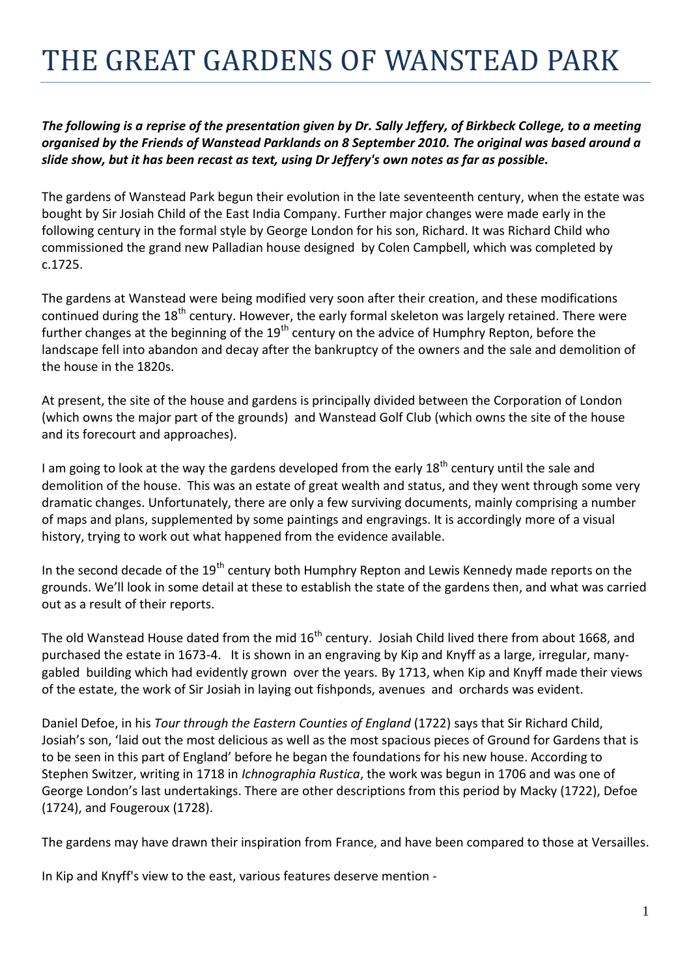## THE GREAT GARDENS OF WANSTEAD PARK

## *The following is a reprise of the presentation given by Dr. Sally Jeffery, of Birkbeck College, to a meeting organised by the Friends of Wanstead Parklands on 8 September 2010. The original was based around a slide show, but it has been recast as text, using Dr Jeffery's own notes as far as possible.*

The gardens of Wanstead Park begun their evolution in the late seventeenth century, when the estate was bought by Sir Josiah Child of the East India Company. Further major changes were made early in the following century in the formal style by George London for his son, Richard. It was Richard Child who commissioned the grand new Palladian house designed by Colen Campbell, which was completed by c.1725.

The gardens at Wanstead were being modified very soon after their creation, and these modifications continued during the 18<sup>th</sup> century. However, the early formal skeleton was largely retained. There were further changes at the beginning of the 19<sup>th</sup> century on the advice of Humphry Repton, before the landscape fell into abandon and decay after the bankruptcy of the owners and the sale and demolition of the house in the 1820s.

At present, the site of the house and gardens is principally divided between the Corporation of London (which owns the major part of the grounds) and Wanstead Golf Club (which owns the site of the house and its forecourt and approaches).

I am going to look at the way the gardens developed from the early 18<sup>th</sup> century until the sale and demolition of the house. This was an estate of great wealth and status, and they went through some very dramatic changes. Unfortunately, there are only a few surviving documents, mainly comprising a number of maps and plans, supplemented by some paintings and engravings. It is accordingly more of a visual history, trying to work out what happened from the evidence available.

In the second decade of the 19<sup>th</sup> century both Humphry Repton and Lewis Kennedy made reports on the grounds. We'll look in some detail at these to establish the state of the gardens then, and what was carried out as a result of their reports.

The old Wanstead House dated from the mid 16<sup>th</sup> century. Josiah Child lived there from about 1668, and purchased the estate in 1673-4. It is shown in an engraving by Kip and Knyff as a large, irregular, manygabled building which had evidently grown over the years. By 1713, when Kip and Knyff made their views of the estate, the work of Sir Josiah in laying out fishponds, avenues and orchards was evident.

Daniel Defoe, in his *Tour through the Eastern Counties of England* (1722) says that Sir Richard Child, Josiah's son, 'laid out the most delicious as well as the most spacious pieces of Ground for Gardens that is to be seen in this part of England' before he began the foundations for his new house. According to Stephen Switzer, writing in 1718 in *Ichnographia Rustica*, the work was begun in 1706 and was one of George London's last undertakings. There are other descriptions from this period by Macky (1722), Defoe (1724), and Fougeroux (1728).

The gardens may have drawn their inspiration from France, and have been compared to those at Versailles.

In Kip and Knyff's view to the east, various features deserve mention -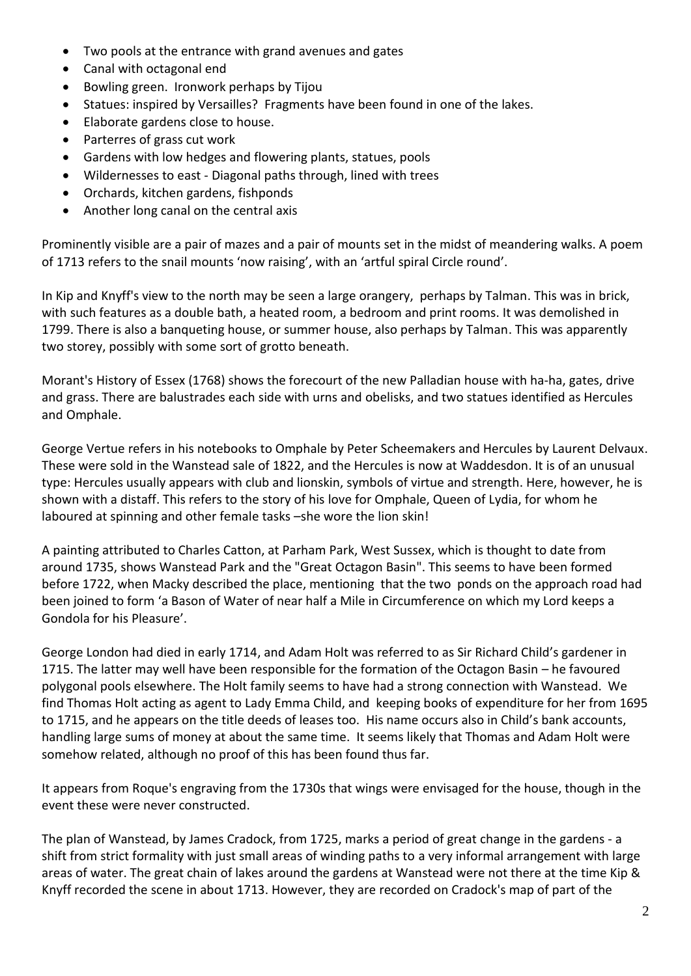- Two pools at the entrance with grand avenues and gates
- Canal with octagonal end
- Bowling green. Ironwork perhaps by Tijou
- Statues: inspired by Versailles? Fragments have been found in one of the lakes.
- Elaborate gardens close to house.
- Parterres of grass cut work
- Gardens with low hedges and flowering plants, statues, pools
- Wildernesses to east Diagonal paths through, lined with trees
- Orchards, kitchen gardens, fishponds
- Another long canal on the central axis

Prominently visible are a pair of mazes and a pair of mounts set in the midst of meandering walks. A poem of 1713 refers to the snail mounts 'now raising', with an 'artful spiral Circle round'.

In Kip and Knyff's view to the north may be seen a large orangery, perhaps by Talman. This was in brick, with such features as a double bath, a heated room, a bedroom and print rooms. It was demolished in 1799. There is also a banqueting house, or summer house, also perhaps by Talman. This was apparently two storey, possibly with some sort of grotto beneath.

Morant's History of Essex (1768) shows the forecourt of the new Palladian house with ha-ha, gates, drive and grass. There are balustrades each side with urns and obelisks, and two statues identified as Hercules and Omphale.

George Vertue refers in his notebooks to Omphale by Peter Scheemakers and Hercules by Laurent Delvaux. These were sold in the Wanstead sale of 1822, and the Hercules is now at Waddesdon. It is of an unusual type: Hercules usually appears with club and lionskin, symbols of virtue and strength. Here, however, he is shown with a distaff. This refers to the story of his love for Omphale, Queen of Lydia, for whom he laboured at spinning and other female tasks –she wore the lion skin!

A painting attributed to Charles Catton, at Parham Park, West Sussex, which is thought to date from around 1735, shows Wanstead Park and the "Great Octagon Basin". This seems to have been formed before 1722, when Macky described the place, mentioning that the two ponds on the approach road had been joined to form 'a Bason of Water of near half a Mile in Circumference on which my Lord keeps a Gondola for his Pleasure'.

George London had died in early 1714, and Adam Holt was referred to as Sir Richard Child's gardener in 1715. The latter may well have been responsible for the formation of the Octagon Basin – he favoured polygonal pools elsewhere. The Holt family seems to have had a strong connection with Wanstead. We find Thomas Holt acting as agent to Lady Emma Child, and keeping books of expenditure for her from 1695 to 1715, and he appears on the title deeds of leases too. His name occurs also in Child's bank accounts, handling large sums of money at about the same time. It seems likely that Thomas and Adam Holt were somehow related, although no proof of this has been found thus far.

It appears from Roque's engraving from the 1730s that wings were envisaged for the house, though in the event these were never constructed.

The plan of Wanstead, by James Cradock, from 1725, marks a period of great change in the gardens - a shift from strict formality with just small areas of winding paths to a very informal arrangement with large areas of water. The great chain of lakes around the gardens at Wanstead were not there at the time Kip & Knyff recorded the scene in about 1713. However, they are recorded on Cradock's map of part of the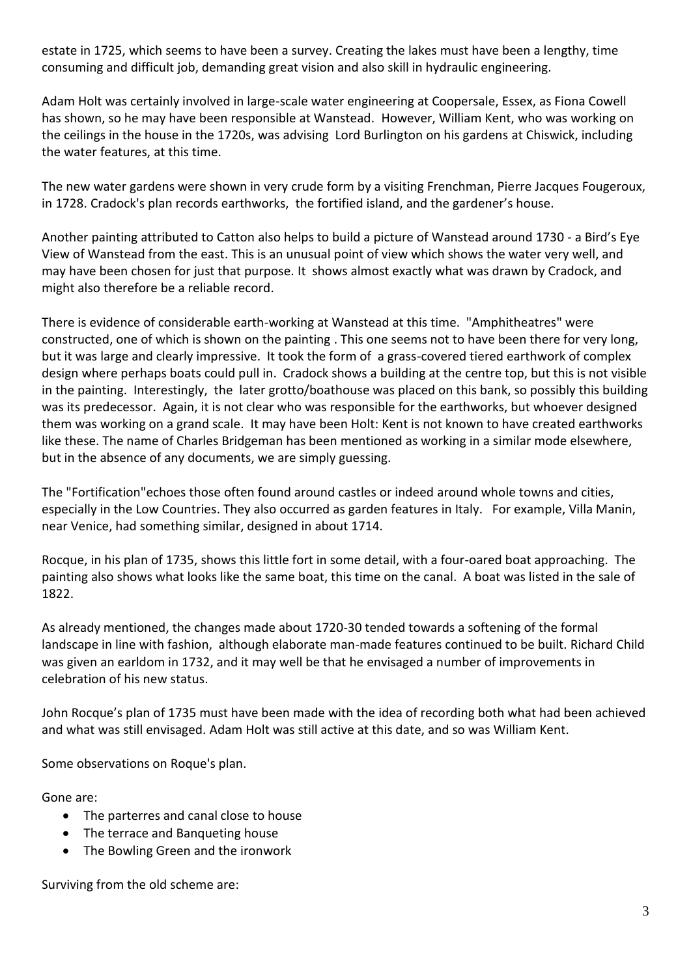estate in 1725, which seems to have been a survey. Creating the lakes must have been a lengthy, time consuming and difficult job, demanding great vision and also skill in hydraulic engineering.

Adam Holt was certainly involved in large-scale water engineering at Coopersale, Essex, as Fiona Cowell has shown, so he may have been responsible at Wanstead. However, William Kent, who was working on the ceilings in the house in the 1720s, was advising Lord Burlington on his gardens at Chiswick, including the water features, at this time.

The new water gardens were shown in very crude form by a visiting Frenchman, Pierre Jacques Fougeroux, in 1728. Cradock's plan records earthworks, the fortified island, and the gardener's house.

Another painting attributed to Catton also helps to build a picture of Wanstead around 1730 - a Bird's Eye View of Wanstead from the east. This is an unusual point of view which shows the water very well, and may have been chosen for just that purpose. It shows almost exactly what was drawn by Cradock, and might also therefore be a reliable record.

There is evidence of considerable earth-working at Wanstead at this time. "Amphitheatres" were constructed, one of which is shown on the painting . This one seems not to have been there for very long, but it was large and clearly impressive. It took the form of a grass-covered tiered earthwork of complex design where perhaps boats could pull in. Cradock shows a building at the centre top, but this is not visible in the painting. Interestingly, the later grotto/boathouse was placed on this bank, so possibly this building was its predecessor. Again, it is not clear who was responsible for the earthworks, but whoever designed them was working on a grand scale. It may have been Holt: Kent is not known to have created earthworks like these. The name of Charles Bridgeman has been mentioned as working in a similar mode elsewhere, but in the absence of any documents, we are simply guessing.

The "Fortification"echoes those often found around castles or indeed around whole towns and cities, especially in the Low Countries. They also occurred as garden features in Italy. For example, Villa Manin, near Venice, had something similar, designed in about 1714.

Rocque, in his plan of 1735, shows this little fort in some detail, with a four-oared boat approaching. The painting also shows what looks like the same boat, this time on the canal. A boat was listed in the sale of 1822.

As already mentioned, the changes made about 1720-30 tended towards a softening of the formal landscape in line with fashion, although elaborate man-made features continued to be built. Richard Child was given an earldom in 1732, and it may well be that he envisaged a number of improvements in celebration of his new status.

John Rocque's plan of 1735 must have been made with the idea of recording both what had been achieved and what was still envisaged. Adam Holt was still active at this date, and so was William Kent.

Some observations on Roque's plan.

Gone are:

- The parterres and canal close to house
- The terrace and Banqueting house
- The Bowling Green and the ironwork

Surviving from the old scheme are: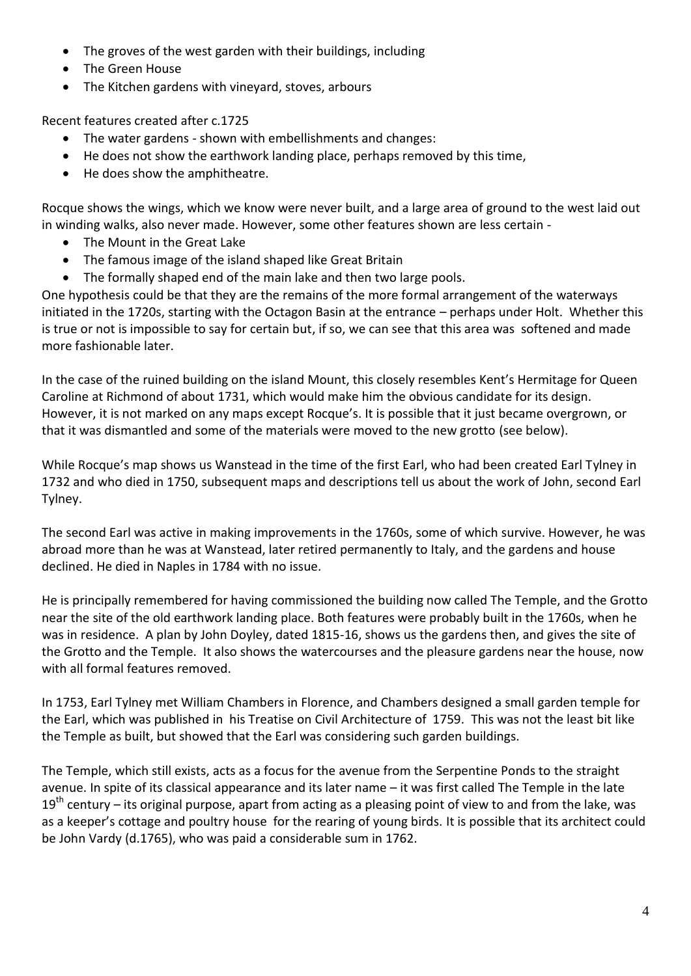- The groves of the west garden with their buildings, including
- The Green House
- The Kitchen gardens with vineyard, stoves, arbours

Recent features created after c.1725

- The water gardens shown with embellishments and changes:
- He does not show the earthwork landing place, perhaps removed by this time,
- He does show the amphitheatre.

Rocque shows the wings, which we know were never built, and a large area of ground to the west laid out in winding walks, also never made. However, some other features shown are less certain -

- The Mount in the Great Lake
- The famous image of the island shaped like Great Britain
- The formally shaped end of the main lake and then two large pools.

One hypothesis could be that they are the remains of the more formal arrangement of the waterways initiated in the 1720s, starting with the Octagon Basin at the entrance – perhaps under Holt. Whether this is true or not is impossible to say for certain but, if so, we can see that this area was softened and made more fashionable later.

In the case of the ruined building on the island Mount, this closely resembles Kent's Hermitage for Queen Caroline at Richmond of about 1731, which would make him the obvious candidate for its design. However, it is not marked on any maps except Rocque's. It is possible that it just became overgrown, or that it was dismantled and some of the materials were moved to the new grotto (see below).

While Rocque's map shows us Wanstead in the time of the first Earl, who had been created Earl Tylney in 1732 and who died in 1750, subsequent maps and descriptions tell us about the work of John, second Earl Tylney.

The second Earl was active in making improvements in the 1760s, some of which survive. However, he was abroad more than he was at Wanstead, later retired permanently to Italy, and the gardens and house declined. He died in Naples in 1784 with no issue.

He is principally remembered for having commissioned the building now called The Temple, and the Grotto near the site of the old earthwork landing place. Both features were probably built in the 1760s, when he was in residence. A plan by John Doyley, dated 1815-16, shows us the gardens then, and gives the site of the Grotto and the Temple. It also shows the watercourses and the pleasure gardens near the house, now with all formal features removed.

In 1753, Earl Tylney met William Chambers in Florence, and Chambers designed a small garden temple for the Earl, which was published in his Treatise on Civil Architecture of 1759. This was not the least bit like the Temple as built, but showed that the Earl was considering such garden buildings.

The Temple, which still exists, acts as a focus for the avenue from the Serpentine Ponds to the straight avenue. In spite of its classical appearance and its later name – it was first called The Temple in the late  $19<sup>th</sup>$  century – its original purpose, apart from acting as a pleasing point of view to and from the lake, was as a keeper's cottage and poultry house for the rearing of young birds. It is possible that its architect could be John Vardy (d.1765), who was paid a considerable sum in 1762.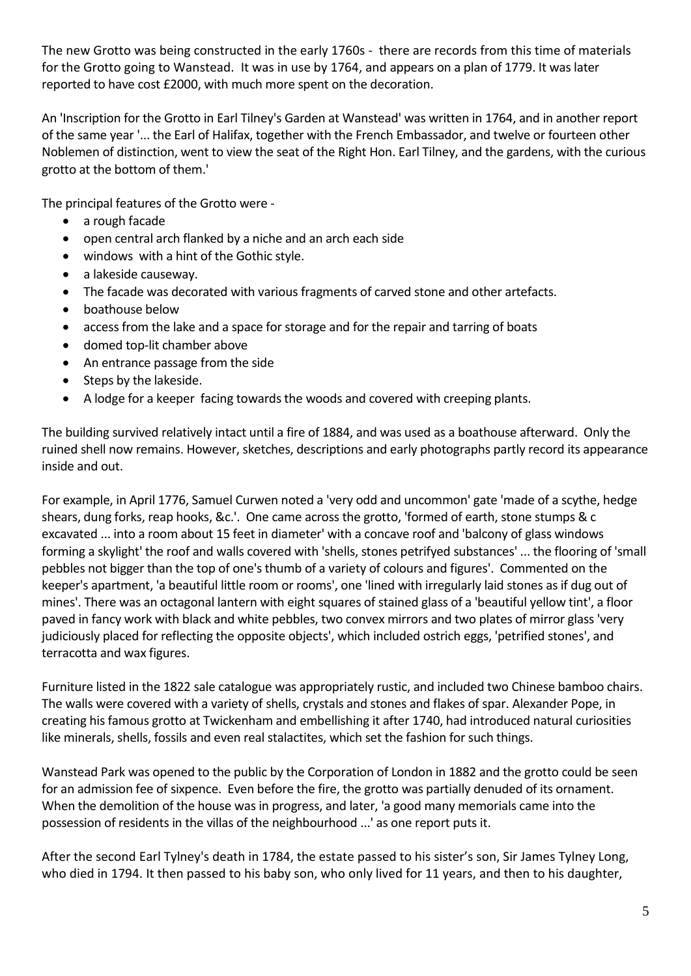The new Grotto was being constructed in the early 1760s - there are records from this time of materials for the Grotto going to Wanstead. It was in use by 1764, and appears on a plan of 1779. It was later reported to have cost £2000, with much more spent on the decoration.

An 'Inscription for the Grotto in Earl Tilney's Garden at Wanstead' was written in 1764, and in another report of the same year '... the Earl of Halifax, together with the French Embassador, and twelve or fourteen other Noblemen of distinction, went to view the seat of the Right Hon. Earl Tilney, and the gardens, with the curious grotto at the bottom of them.'

The principal features of the Grotto were -

- a rough facade
- open central arch flanked by a niche and an arch each side
- windows with a hint of the Gothic style.
- a lakeside causeway.
- The facade was decorated with various fragments of carved stone and other artefacts.
- boathouse below
- access from the lake and a space for storage and for the repair and tarring of boats
- domed top-lit chamber above
- An entrance passage from the side
- Steps by the lakeside.
- A lodge for a keeper facing towards the woods and covered with creeping plants.

The building survived relatively intact until a fire of 1884, and was used as a boathouse afterward. Only the ruined shell now remains. However, sketches, descriptions and early photographs partly record its appearance inside and out.

For example, in April 1776, Samuel Curwen noted a 'very odd and uncommon' gate 'made of a scythe, hedge shears, dung forks, reap hooks, &c.'. One came across the grotto, 'formed of earth, stone stumps & c excavated ... into a room about 15 feet in diameter' with a concave roof and 'balcony of glass windows forming a skylight' the roof and walls covered with 'shells, stones petrifyed substances' ... the flooring of 'small pebbles not bigger than the top of one's thumb of a variety of colours and figures'. Commented on the keeper's apartment, 'a beautiful little room or rooms', one 'lined with irregularly laid stones as if dug out of mines'. There was an octagonal lantern with eight squares of stained glass of a 'beautiful yellow tint', a floor paved in fancy work with black and white pebbles, two convex mirrors and two plates of mirror glass 'very judiciously placed for reflecting the opposite objects', which included ostrich eggs, 'petrified stones', and terracotta and wax figures.

Furniture listed in the 1822 sale catalogue was appropriately rustic, and included two Chinese bamboo chairs. The walls were covered with a variety of shells, crystals and stones and flakes of spar. Alexander Pope, in creating his famous grotto at Twickenham and embellishing it after 1740, had introduced natural curiosities like minerals, shells, fossils and even real stalactites, which set the fashion for such things.

Wanstead Park was opened to the public by the Corporation of London in 1882 and the grotto could be seen for an admission fee of sixpence. Even before the fire, the grotto was partially denuded of its ornament. When the demolition of the house was in progress, and later, 'a good many memorials came into the possession of residents in the villas of the neighbourhood ...' as one report puts it.

After the second Earl Tylney's death in 1784, the estate passed to his sister's son, Sir James Tylney Long, who died in 1794. It then passed to his baby son, who only lived for 11 years, and then to his daughter,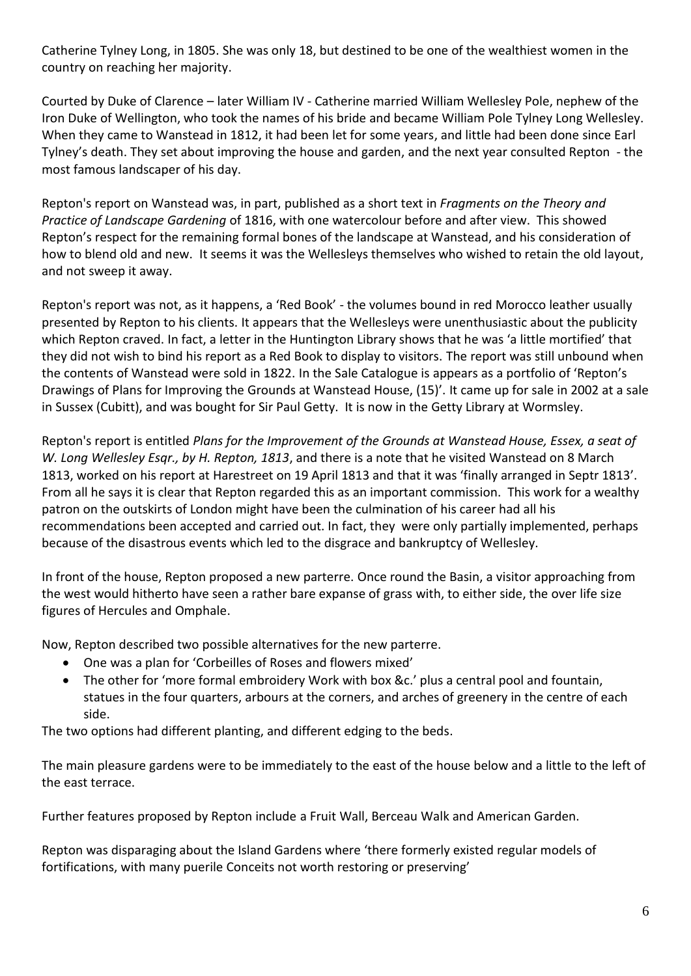Catherine Tylney Long, in 1805. She was only 18, but destined to be one of the wealthiest women in the country on reaching her majority.

Courted by Duke of Clarence – later William IV - Catherine married William Wellesley Pole, nephew of the Iron Duke of Wellington, who took the names of his bride and became William Pole Tylney Long Wellesley. When they came to Wanstead in 1812, it had been let for some years, and little had been done since Earl Tylney's death. They set about improving the house and garden, and the next year consulted Repton - the most famous landscaper of his day.

Repton's report on Wanstead was, in part, published as a short text in *Fragments on the Theory and Practice of Landscape Gardening* of 1816, with one watercolour before and after view. This showed Repton's respect for the remaining formal bones of the landscape at Wanstead, and his consideration of how to blend old and new. It seems it was the Wellesleys themselves who wished to retain the old layout, and not sweep it away.

Repton's report was not, as it happens, a 'Red Book' - the volumes bound in red Morocco leather usually presented by Repton to his clients. It appears that the Wellesleys were unenthusiastic about the publicity which Repton craved. In fact, a letter in the Huntington Library shows that he was 'a little mortified' that they did not wish to bind his report as a Red Book to display to visitors. The report was still unbound when the contents of Wanstead were sold in 1822. In the Sale Catalogue is appears as a portfolio of 'Repton's Drawings of Plans for Improving the Grounds at Wanstead House, (15)'. It came up for sale in 2002 at a sale in Sussex (Cubitt), and was bought for Sir Paul Getty. It is now in the Getty Library at Wormsley.

Repton's report is entitled *Plans for the Improvement of the Grounds at Wanstead House, Essex, a seat of W. Long Wellesley Esqr., by H. Repton, 1813*, and there is a note that he visited Wanstead on 8 March 1813, worked on his report at Harestreet on 19 April 1813 and that it was 'finally arranged in Septr 1813'. From all he says it is clear that Repton regarded this as an important commission. This work for a wealthy patron on the outskirts of London might have been the culmination of his career had all his recommendations been accepted and carried out. In fact, they were only partially implemented, perhaps because of the disastrous events which led to the disgrace and bankruptcy of Wellesley.

In front of the house, Repton proposed a new parterre. Once round the Basin, a visitor approaching from the west would hitherto have seen a rather bare expanse of grass with, to either side, the over life size figures of Hercules and Omphale.

Now, Repton described two possible alternatives for the new parterre.

- One was a plan for 'Corbeilles of Roses and flowers mixed'
- The other for 'more formal embroidery Work with box &c.' plus a central pool and fountain, statues in the four quarters, arbours at the corners, and arches of greenery in the centre of each side.

The two options had different planting, and different edging to the beds.

The main pleasure gardens were to be immediately to the east of the house below and a little to the left of the east terrace.

Further features proposed by Repton include a Fruit Wall, Berceau Walk and American Garden.

Repton was disparaging about the Island Gardens where 'there formerly existed regular models of fortifications, with many puerile Conceits not worth restoring or preserving'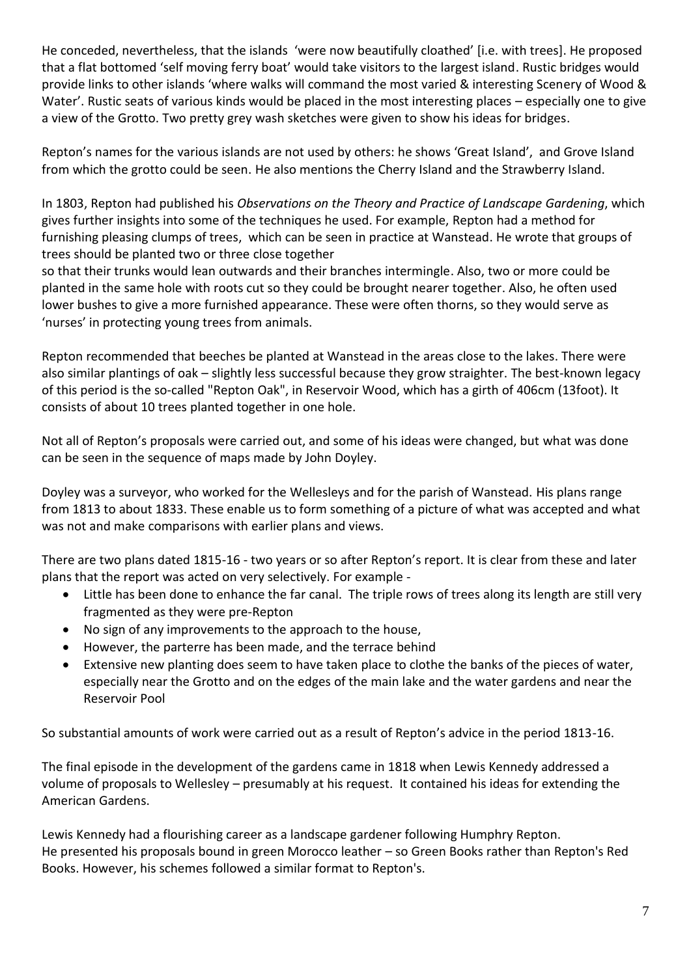He conceded, nevertheless, that the islands 'were now beautifully cloathed' [i.e. with trees]. He proposed that a flat bottomed 'self moving ferry boat' would take visitors to the largest island. Rustic bridges would provide links to other islands 'where walks will command the most varied & interesting Scenery of Wood & Water'. Rustic seats of various kinds would be placed in the most interesting places – especially one to give a view of the Grotto. Two pretty grey wash sketches were given to show his ideas for bridges.

Repton's names for the various islands are not used by others: he shows 'Great Island', and Grove Island from which the grotto could be seen. He also mentions the Cherry Island and the Strawberry Island.

In 1803, Repton had published his *Observations on the Theory and Practice of Landscape Gardening*, which gives further insights into some of the techniques he used. For example, Repton had a method for furnishing pleasing clumps of trees, which can be seen in practice at Wanstead. He wrote that groups of trees should be planted two or three close together

so that their trunks would lean outwards and their branches intermingle. Also, two or more could be planted in the same hole with roots cut so they could be brought nearer together. Also, he often used lower bushes to give a more furnished appearance. These were often thorns, so they would serve as 'nurses' in protecting young trees from animals.

Repton recommended that beeches be planted at Wanstead in the areas close to the lakes. There were also similar plantings of oak – slightly less successful because they grow straighter. The best-known legacy of this period is the so-called "Repton Oak", in Reservoir Wood, which has a girth of 406cm (13foot). It consists of about 10 trees planted together in one hole.

Not all of Repton's proposals were carried out, and some of his ideas were changed, but what was done can be seen in the sequence of maps made by John Doyley.

Doyley was a surveyor, who worked for the Wellesleys and for the parish of Wanstead. His plans range from 1813 to about 1833. These enable us to form something of a picture of what was accepted and what was not and make comparisons with earlier plans and views.

There are two plans dated 1815-16 - two years or so after Repton's report. It is clear from these and later plans that the report was acted on very selectively. For example -

- Little has been done to enhance the far canal. The triple rows of trees along its length are still very fragmented as they were pre-Repton
- No sign of any improvements to the approach to the house,
- However, the parterre has been made, and the terrace behind
- Extensive new planting does seem to have taken place to clothe the banks of the pieces of water, especially near the Grotto and on the edges of the main lake and the water gardens and near the Reservoir Pool

So substantial amounts of work were carried out as a result of Repton's advice in the period 1813-16.

The final episode in the development of the gardens came in 1818 when Lewis Kennedy addressed a volume of proposals to Wellesley – presumably at his request. It contained his ideas for extending the American Gardens.

Lewis Kennedy had a flourishing career as a landscape gardener following Humphry Repton. He presented his proposals bound in green Morocco leather – so Green Books rather than Repton's Red Books. However, his schemes followed a similar format to Repton's.